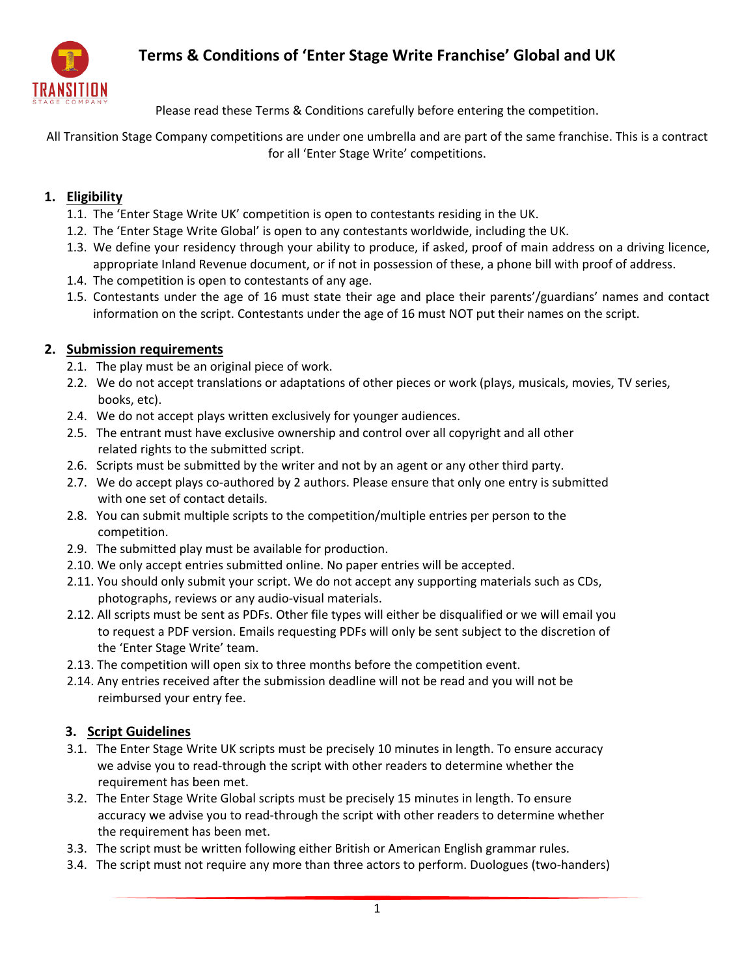# **Terms & Conditions of 'Enter Stage Write Franchise' Global and UK**



Please read these Terms & Conditions carefully before entering the competition.

All Transition Stage Company competitions are under one umbrella and are part of the same franchise. This is a contract for all 'Enter Stage Write' competitions.

### **1. Eligibility**

- 1.1. The 'Enter Stage Write UK' competition is open to contestants residing in the UK.
- 1.2. The 'Enter Stage Write Global' is open to any contestants worldwide, including the UK.
- 1.3. We define your residency through your ability to produce, if asked, proof of main address on a driving licence, appropriate Inland Revenue document, or if not in possession of these, a phone bill with proof of address.
- 1.4. The competition is open to contestants of any age.
- 1.5. Contestants under the age of 16 must state their age and place their parents'/guardians' names and contact information on the script. Contestants under the age of 16 must NOT put their names on the script.

### **2. Submission requirements**

- 2.1. The play must be an original piece of work.
- 2.2. We do not accept translations or adaptations of other pieces or work (plays, musicals, movies, TV series, books, etc).
- 2.4. We do not accept plays written exclusively for younger audiences.
- 2.5. The entrant must have exclusive ownership and control over all copyright and all other related rights to the submitted script.
- 2.6. Scripts must be submitted by the writer and not by an agent or any other third party.
- 2.7. We do accept plays co-authored by 2 authors. Please ensure that only one entry is submitted with one set of contact details.
- 2.8. You can submit multiple scripts to the competition/multiple entries per person to the competition.
- 2.9. The submitted play must be available for production.
- 2.10. We only accept entries submitted online. No paper entries will be accepted.
- 2.11. You should only submit your script. We do not accept any supporting materials such as CDs, photographs, reviews or any audio-visual materials.
- 2.12. All scripts must be sent as PDFs. Other file types will either be disqualified or we will email you to request a PDF version. Emails requesting PDFs will only be sent subject to the discretion of the 'Enter Stage Write' team.
- 2.13. The competition will open six to three months before the competition event.
- 2.14. Any entries received after the submission deadline will not be read and you will not be reimbursed your entry fee.

#### **3. Script Guidelines**

- 3.1. The Enter Stage Write UK scripts must be precisely 10 minutes in length. To ensure accuracy we advise you to read-through the script with other readers to determine whether the requirement has been met.
- 3.2. The Enter Stage Write Global scripts must be precisely 15 minutes in length. To ensure accuracy we advise you to read-through the script with other readers to determine whether the requirement has been met.
- 3.3. The script must be written following either British or American English grammar rules.
- 3.4. The script must not require any more than three actors to perform. Duologues (two-handers)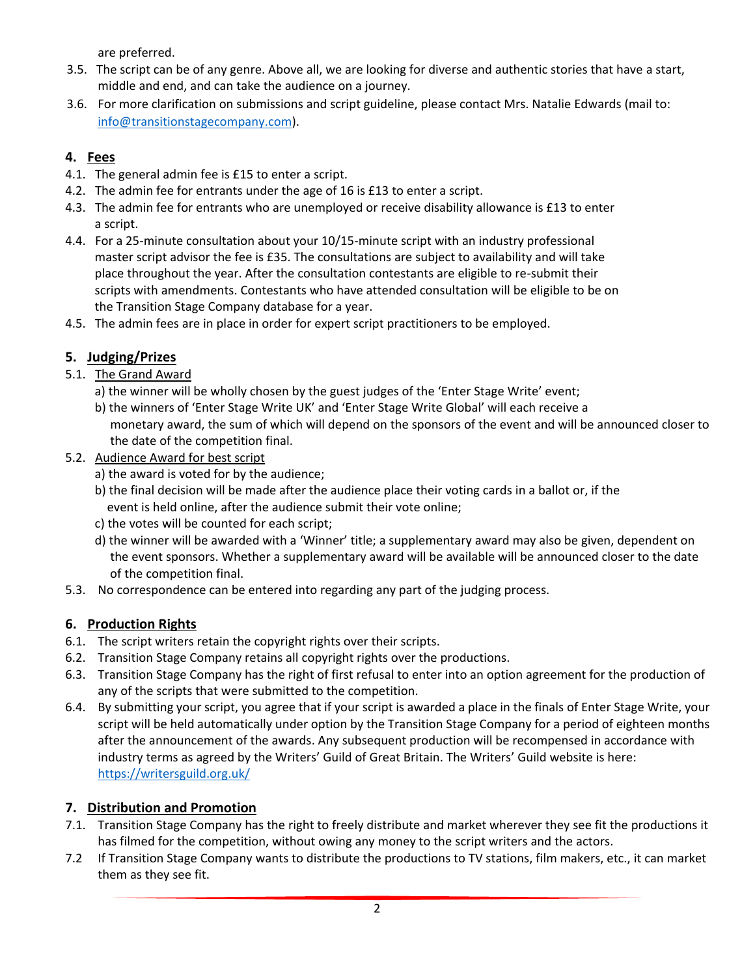are preferred.

- 3.5. The script can be of any genre. Above all, we are looking for diverse and authentic stories that have a start, middle and end, and can take the audience on a journey.
- 3.6. For more clarification on submissions and script guideline, please contact Mrs. Natalie Edwards (mail to: [info@transitionstagecompany.com\)](mailto:info@transitionstagecompany.com).

### **4. Fees**

- 4.1. The general admin fee is £15 to enter a script.
- 4.2. The admin fee for entrants under the age of 16 is £13 to enter a script.
- 4.3. The admin fee for entrants who are unemployed or receive disability allowance is £13 to enter a script.
- 4.4. For a 25-minute consultation about your 10/15-minute script with an industry professional master script advisor the fee is £35. The consultations are subject to availability and will take place throughout the year. After the consultation contestants are eligible to re-submit their scripts with amendments. Contestants who have attended consultation will be eligible to be on the Transition Stage Company database for a year.
- 4.5. The admin fees are in place in order for expert script practitioners to be employed.

# **5. Judging/Prizes**

- 5.1. The Grand Award
	- a) the winner will be wholly chosen by the guest judges of the 'Enter Stage Write' event;
	- b) the winners of 'Enter Stage Write UK' and 'Enter Stage Write Global' will each receive a monetary award, the sum of which will depend on the sponsors of the event and will be announced closer to the date of the competition final.
- 5.2. Audience Award for best script
	- a) the award is voted for by the audience;
	- b) the final decision will be made after the audience place their voting cards in a ballot or, if the event is held online, after the audience submit their vote online;
	- c) the votes will be counted for each script;
	- d) the winner will be awarded with a 'Winner' title; a supplementary award may also be given, dependent on the event sponsors. Whether a supplementary award will be available will be announced closer to the date of the competition final.
- 5.3. No correspondence can be entered into regarding any part of the judging process.

## **6. Production Rights**

- 6.1. The script writers retain the copyright rights over their scripts.
- 6.2. Transition Stage Company retains all copyright rights over the productions.
- 6.3. Transition Stage Company has the right of first refusal to enter into an option agreement for the production of any of the scripts that were submitted to the competition.
- 6.4. By submitting your script, you agree that if your script is awarded a place in the finals of Enter Stage Write, your script will be held automatically under option by the Transition Stage Company for a period of eighteen months after the announcement of the awards. Any subsequent production will be recompensed in accordance with industry terms as agreed by the Writers' Guild of Great Britain. The Writers' Guild website is here: <https://writersguild.org.uk/>

## **7. Distribution and Promotion**

- 7.1. Transition Stage Company has the right to freely distribute and market wherever they see fit the productions it has filmed for the competition, without owing any money to the script writers and the actors.
- 7.2 If Transition Stage Company wants to distribute the productions to TV stations, film makers, etc., it can market them as they see fit.